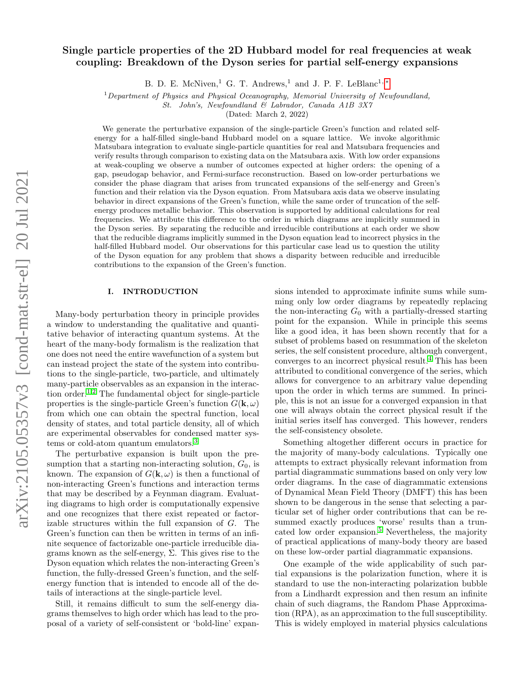# Single particle properties of the 2D Hubbard model for real frequencies at weak coupling: Breakdown of the Dyson series for partial self-energy expansions

B. D. E. McNiven,<sup>1</sup> G. T. Andrews,<sup>1</sup> and J. P. F. LeBlanc<sup>1,\*</sup>

 $1$ Department of Physics and Physical Oceanography, Memorial University of Newfoundland,

St. John's, Newfoundland & Labrador, Canada A1B 3X7

(Dated: March 2, 2022)

We generate the perturbative expansion of the single-particle Green's function and related selfenergy for a half-filled single-band Hubbard model on a square lattice. We invoke algorithmic Matsubara integration to evaluate single-particle quantities for real and Matsubara frequencies and verify results through comparison to existing data on the Matsubara axis. With low order expansions at weak-coupling we observe a number of outcomes expected at higher orders: the opening of a gap, pseudogap behavior, and Fermi-surface reconstruction. Based on low-order perturbations we consider the phase diagram that arises from truncated expansions of the self-energy and Green's function and their relation via the Dyson equation. From Matsubara axis data we observe insulating behavior in direct expansions of the Green's function, while the same order of truncation of the selfenergy produces metallic behavior. This observation is supported by additional calculations for real frequencies. We attribute this difference to the order in which diagrams are implicitly summed in the Dyson series. By separating the reducible and irreducible contributions at each order we show that the reducible diagrams implicitly summed in the Dyson equation lead to incorrect physics in the half-filled Hubbard model. Our observations for this particular case lead us to question the utility of the Dyson equation for any problem that shows a disparity between reducible and irreducible contributions to the expansion of the Green's function.

## I. INTRODUCTION

Many-body perturbation theory in principle provides a window to understanding the qualitative and quantitative behavior of interacting quantum systems. At the heart of the many-body formalism is the realization that one does not need the entire wavefunction of a system but can instead project the state of the system into contributions to the single-particle, two-particle, and ultimately many-particle observables as an expansion in the interac-tion order.<sup>[1](#page-8-1)[,2](#page-8-2)</sup> The fundamental object for single-particle properties is the single-particle Green's function  $G(\mathbf{k}, \omega)$ from which one can obtain the spectral function, local density of states, and total particle density, all of which are experimental observables for condensed matter systems or cold-atom quantum emulators.[3](#page-8-3)

The perturbative expansion is built upon the presumption that a starting non-interacting solution,  $G_0$ , is known. The expansion of  $G(\mathbf{k}, \omega)$  is then a functional of non-interacting Green's functions and interaction terms that may be described by a Feynman diagram. Evaluating diagrams to high order is computationally expensive and one recognizes that there exist repeated or factorizable structures within the full expansion of G. The Green's function can then be written in terms of an infinite sequence of factorizable one-particle irreducible diagrams known as the self-energy,  $\Sigma$ . This gives rise to the Dyson equation which relates the non-interacting Green's function, the fully-dressed Green's function, and the selfenergy function that is intended to encode all of the details of interactions at the single-particle level.

Still, it remains difficult to sum the self-energy diagrams themselves to high order which has lead to the proposal of a variety of self-consistent or 'bold-line' expansions intended to approximate infinite sums while summing only low order diagrams by repeatedly replacing the non-interacting  $G_0$  with a partially-dressed starting point for the expansion. While in principle this seems like a good idea, it has been shown recently that for a subset of problems based on resummation of the skeleton series, the self consistent procedure, although convergent, converges to an incorrect physical result.[4](#page-8-4) This has been attributed to conditional convergence of the series, which allows for convergence to an arbitrary value depending upon the order in which terms are summed. In principle, this is not an issue for a converged expansion in that one will always obtain the correct physical result if the initial series itself has converged. This however, renders the self-consistency obsolete.

Something altogether different occurs in practice for the majority of many-body calculations. Typically one attempts to extract physically relevant information from partial diagrammatic summations based on only very low order diagrams. In the case of diagrammatic extensions of Dynamical Mean Field Theory (DMFT) this has been shown to be dangerous in the sense that selecting a particular set of higher order contributions that can be resummed exactly produces 'worse' results than a truncated low order expansion.[5](#page-8-5) Nevertheless, the majority of practical applications of many-body theory are based on these low-order partial diagrammatic expansions.

One example of the wide applicability of such partial expansions is the polarization function, where it is standard to use the non-interacting polarization bubble from a Lindhardt expression and then resum an infinite chain of such diagrams, the Random Phase Approximation (RPA), as an approximation to the full susceptibility. This is widely employed in material physics calculations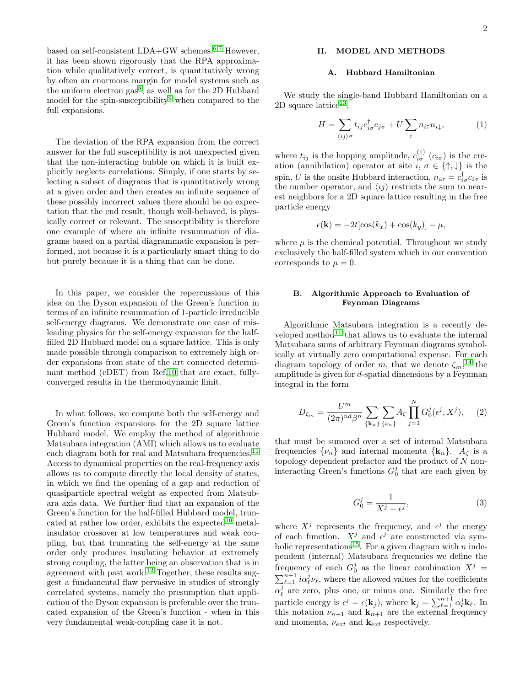based on self-consistent LDA+GW schemes.[6,](#page-8-6)[7](#page-8-7) However, it has been shown rigorously that the RPA approximation while qualitatively correct, is quantitatively wrong by often an enormous margin for model systems such as the uniform electron  $gas^8$  $gas^8$ , as well as for the 2D Hubbard model for the spin-susceptibility<sup>[9](#page-8-9)</sup> when compared to the full expansions.

The deviation of the RPA expansion from the correct answer for the full susceptibility is not unexpected given that the non-interacting bubble on which it is built explicitly neglects correlations. Simply, if one starts by selecting a subset of diagrams that is quantitatively wrong at a given order and then creates an infinite sequence of these possibly incorrect values there should be no expectation that the end result, though well-behaved, is physically correct or relevant. The susceptibility is therefore one example of where an infinite resummation of diagrams based on a partial diagrammatic expansion is performed, not because it is a particularly smart thing to do but purely because it is a thing that can be done.

In this paper, we consider the repercussions of this idea on the Dyson expansion of the Green's function in terms of an infinite resummation of 1-particle irreducible self-energy diagrams. We demonstrate one case of misleading physics for the self-energy expansion for the halffilled 2D Hubbard model on a square lattice. This is only made possible through comparison to extremely high order expansions from state of the art connected determinant method (cDET) from Ref[.10](#page-8-10) that are exact, fullyconverged results in the thermodynamic limit.

In what follows, we compute both the self-energy and Green's function expansions for the 2D square lattice Hubbard model. We employ the method of algorithmic Matsubara integration (AMI) which allows us to evaluate each diagram both for real and Matsubara frequencies.<sup>[11](#page-8-11)</sup> Access to dynamical properties on the real-frequency axis allows us to compute directly the local density of states, in which we find the opening of a gap and reduction of quasiparticle spectral weight as expected from Matsubara axis data. We further find that an expansion of the Green's function for the half-filled Hubbard model, trun-cated at rather low order, exhibits the expected<sup>[10](#page-8-10)</sup> metalinsulator crossover at low temperatures and weak coupling, but that truncating the self-energy at the same order only produces insulating behavior at extremely strong coupling, the latter being an observation that is in agreement with past work.<sup>[12](#page-8-12)</sup> Together, these results suggest a fundamental flaw pervasive in studies of strongly correlated systems, namely the presumption that application of the Dyson expansion is preferable over the truncated expansion of the Green's function - when in this very fundamental weak-coupling case it is not.

## II. MODEL AND METHODS

#### A. Hubbard Hamiltonian

We study the single-band Hubbard Hamiltonian on a  $2D$  square lattice<sup>[13](#page-8-13)</sup>,

$$
H = \sum_{\langle ij \rangle \sigma} t_{ij} c_{i\sigma}^{\dagger} c_{j\sigma} + U \sum_{i} n_{i\uparrow} n_{i\downarrow}, \tag{1}
$$

where  $t_{ij}$  is the hopping amplitude,  $c_{i\sigma}^{(\dagger)}$   $(c_{i\sigma})$  is the creation (annihilation) operator at site  $i, \sigma \in \{\uparrow, \downarrow\}$  is the spin, U is the onsite Hubbard interaction,  $n_{i\sigma} = c_{i\sigma}^{\dagger} c_{i\sigma}$  is the number operator, and  $\langle ij \rangle$  restricts the sum to nearest neighbors for a 2D square lattice resulting in the free particle energy

$$
\epsilon(\mathbf{k}) = -2t[\cos(k_x) + \cos(k_y)] - \mu,
$$

where  $\mu$  is the chemical potential. Throughout we study exclusively the half-filled system which in our convention corresponds to  $\mu = 0$ .

## B. Algorithmic Approach to Evaluation of Feynman Diagrams

Algorithmic Matsubara integration is a recently developed method $11$  that allows us to evaluate the internal Matsubara sums of arbitrary Feynman diagrams symbolically at virtually zero computational expense. For each diagram topology of order m, that we denote  $\zeta_m$ ,<sup>[14](#page-8-14)</sup> the amplitude is given for d-spatial dimensions by a Feynman integral in the form

$$
D_{\zeta_m} = \frac{U^m}{(2\pi)^{nd}\beta^n} \sum_{\{\mathbf{k}_n\}} \sum_{\{\nu_n\}} A_{\zeta} \prod_{j=1}^N G_0^j(\epsilon^j, X^j), \quad (2)
$$

that must be summed over a set of internal Matsubara frequencies  $\{\nu_n\}$  and internal momenta  $\{\mathbf k_n\}$ .  $A_{\zeta}$  is a topology dependent prefactor and the product of  $N$  noninteracting Green's functions  $G_0^j$  that are each given by

$$
G_0^j = \frac{1}{X^j - \epsilon^j},\tag{3}
$$

where  $X^j$  represents the frequency, and  $\epsilon^j$  the energy of each function.  $X^j$  and  $\epsilon^j$  are constructed via sym-bolic representations<sup>[15](#page-8-15)</sup>. For a given diagram with n independent (internal) Matsubara frequencies we define the frequency of each  $G_0^j$  as the linear combination  $X^j =$  $\sum_{\ell=1}^{n+1} i \alpha_{\ell}^{j} \nu_{\ell}$ , where the allowed values for the coefficients  $\alpha_{\ell}^{j}$  are zero, plus one, or minus one. Similarly the free particle energy is  $\epsilon^j = \epsilon(\mathbf{k}_j)$ , where  $\mathbf{k}_j = \sum_{\ell=1}^{n+1} \alpha_\ell^j \mathbf{k}_\ell$ . In this notation  $\nu_{n+1}$  and  $\mathbf{k}_{n+1}$  are the external frequency and momenta,  $\nu_{ext}$  and  $\mathbf{k}_{ext}$  respectively.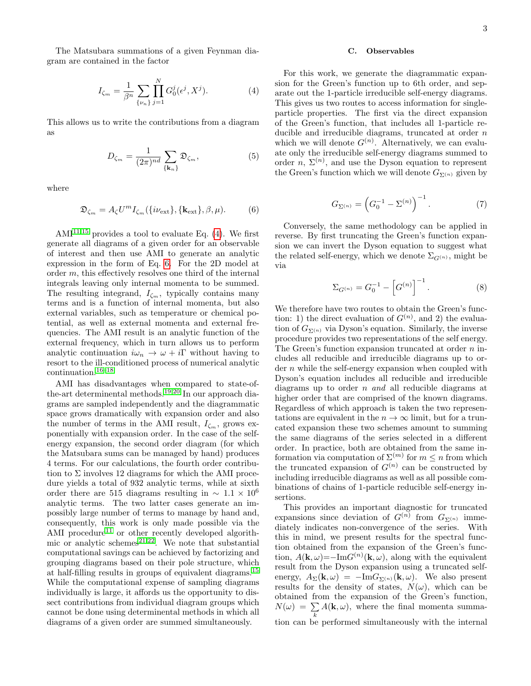The Matsubara summations of a given Feynman diagram are contained in the factor

$$
I_{\zeta_m} = \frac{1}{\beta^n} \sum_{\{\nu_n\}} \prod_{j=1}^N G_0^j(\epsilon^j, X^j). \tag{4}
$$

This allows us to write the contributions from a diagram as

$$
D_{\zeta_m} = \frac{1}{(2\pi)^{nd}} \sum_{\{\mathbf{k}_n\}} \mathfrak{D}_{\zeta_m},\tag{5}
$$

where

$$
\mathfrak{D}_{\zeta_m} = A_{\zeta} U^m I_{\zeta_m}(\{i\nu_{\text{ext}}\}, \{\mathbf{k}_{\text{ext}}\}, \beta, \mu). \tag{6}
$$

 $AMI<sup>11,15</sup>$  $AMI<sup>11,15</sup>$  $AMI<sup>11,15</sup>$  $AMI<sup>11,15</sup>$  provides a tool to evaluate Eq. [\(4\)](#page-2-0). We first generate all diagrams of a given order for an observable of interest and then use AMI to generate an analytic expression in the form of Eq. [6.](#page-2-1) For the 2D model at order m, this effectively resolves one third of the internal integrals leaving only internal momenta to be summed. The resulting integrand,  $I_{\zeta_m}$ , typically contains many terms and is a function of internal momenta, but also external variables, such as temperature or chemical potential, as well as external momenta and external frequencies. The AMI result is an analytic function of the external frequency, which in turn allows us to perform analytic continuation  $i\omega_n \to \omega + i\Gamma$  without having to resort to the ill-conditioned process of numerical analytic continuation.[16–](#page-8-16)[18](#page-8-17)

AMI has disadvantages when compared to state-ofthe-art determinental methods.[19,](#page-8-18)[20](#page-8-19) In our approach diagrams are sampled independently and the diagrammatic space grows dramatically with expansion order and also the number of terms in the AMI result,  $I_{\zeta_m}$ , grows exponentially with expansion order. In the case of the selfenergy expansion, the second order diagram (for which the Matsubara sums can be managed by hand) produces 4 terms. For our calculations, the fourth order contribution to  $\Sigma$  involves 12 diagrams for which the AMI procedure yields a total of 932 analytic terms, while at sixth order there are 515 diagrams resulting in  $\sim 1.1 \times 10^{6}$ analytic terms. The two latter cases generate an impossibly large number of terms to manage by hand and, consequently, this work is only made possible via the AMI procedure<sup>[11](#page-8-11)</sup> or other recently developed algorithmic or analytic schemes $^{21,22}$  $^{21,22}$  $^{21,22}$  $^{21,22}$ . We note that substantial computational savings can be achieved by factorizing and grouping diagrams based on their pole structure, which at half-filling results in groups of equivalent diagrams.[15](#page-8-15) While the computational expense of sampling diagrams individually is large, it affords us the opportunity to dissect contributions from individual diagram groups which cannot be done using determinental methods in which all diagrams of a given order are summed simultaneously.

#### C. Observables

<span id="page-2-0"></span>For this work, we generate the diagrammatic expansion for the Green's function up to 6th order, and separate out the 1-particle irreducible self-energy diagrams. This gives us two routes to access information for singleparticle properties. The first via the direct expansion of the Green's function, that includes all 1-particle reducible and irreducible diagrams, truncated at order n which we will denote  $G^{(n)}$ . Alternatively, we can evaluate only the irreducible self-energy diagrams summed to order  $n, \Sigma^{(n)}$ , and use the Dyson equation to represent the Green's function which we will denote  $G_{\Sigma^{(n)}}$  given by

$$
G_{\Sigma^{(n)}} = \left(G_0^{-1} - \Sigma^{(n)}\right)^{-1}.
$$
 (7)

<span id="page-2-3"></span><span id="page-2-2"></span><span id="page-2-1"></span>Conversely, the same methodology can be applied in reverse. By first truncating the Green's function expansion we can invert the Dyson equation to suggest what the related self-energy, which we denote  $\Sigma_{G(n)}$ , might be via

$$
\Sigma_{G^{(n)}} = G_0^{-1} - \left[ G^{(n)} \right]^{-1}.
$$
 (8)

We therefore have two routes to obtain the Green's function: 1) the direct evaluation of  $G^{(n)}$ , and 2) the evaluation of  $G_{\Sigma^{(n)}}$  via Dyson's equation. Similarly, the inverse procedure provides two representations of the self energy. The Green's function expansion truncated at order n includes all reducible and irreducible diagrams up to order n while the self-energy expansion when coupled with Dyson's equation includes all reducible and irreducible diagrams up to order n and all reducible diagrams at higher order that are comprised of the known diagrams. Regardless of which approach is taken the two representations are equivalent in the  $n \to \infty$  limit, but for a truncated expansion these two schemes amount to summing the same diagrams of the series selected in a different order. In practice, both are obtained from the same information via computation of  $\Sigma^{(m)}$  for  $m \leq n$  from which the truncated expansion of  $G^{(n)}$  can be constructed by including irreducible diagrams as well as all possible combinations of chains of 1-particle reducible self-energy insertions.

This provides an important diagnostic for truncated expansions since deviation of  $G^{(n)}$  from  $G_{\Sigma^{(n)}}$  immediately indicates non-convergence of the series. With this in mind, we present results for the spectral function obtained from the expansion of the Green's function,  $A(\mathbf{k}, \omega) = -\text{Im} G^{(n)}(\mathbf{k}, \omega)$ , along with the equivalent result from the Dyson expansion using a truncated selfenergy,  $A_{\Sigma}(\mathbf{k}, \omega) = -\text{Im}G_{\Sigma^{(n)}}(\mathbf{k}, \omega)$ . We also present results for the density of states,  $N(\omega)$ , which can be obtained from the expansion of the Green's function,  $N(\omega) \ = \ \sum$ k  $A(\mathbf{k}, \omega)$ , where the final momenta summation can be performed simultaneously with the internal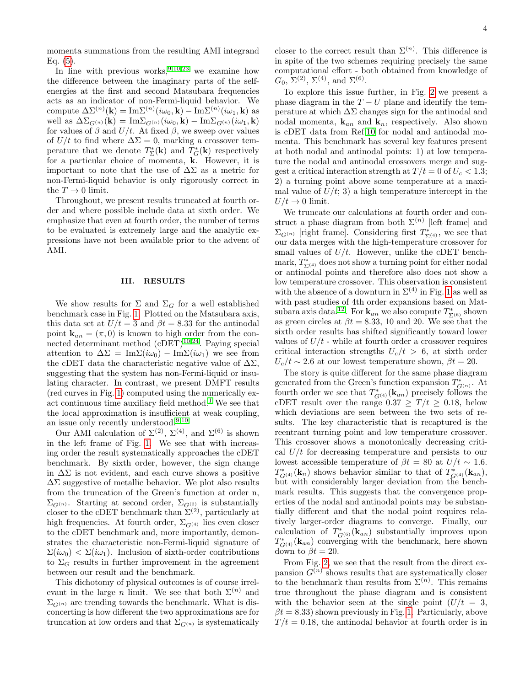momenta summations from the resulting AMI integrand Eq. [\(5\)](#page-2-2).

In line with previous works,  $9,10,23$  $9,10,23$  $9,10,23$  we examine how the difference between the imaginary parts of the selfenergies at the first and second Matsubara frequencies acts as an indicator of non-Fermi-liquid behavior. We compute  $\Delta\Sigma^{(n)}(\mathbf{k}) = \text{Im}\Sigma^{(n)}(i\omega_0, \mathbf{k}) - \text{Im}\Sigma^{(n)}(i\omega_1, \mathbf{k})$  as well as  $\Delta\Sigma_{G^{(n)}}(\mathbf{k}) = \mathrm{Im}\Sigma_{G^{(n)}}(i\omega_0, \mathbf{k}) - \mathrm{Im}\Sigma_{G^{(n)}}(i\omega_1, \mathbf{k})$ for values of  $\beta$  and  $U/t$ . At fixed  $\beta$ , we sweep over values of  $U/t$  to find where  $\Delta \Sigma = 0$ , marking a crossover temperature that we denote  $T_{\Sigma}^*(\mathbf{k})$  and  $T_G^*(\mathbf{k})$  respectively for a particular choice of momenta, k. However, it is important to note that the use of  $\Delta\Sigma$  as a metric for non-Fermi-liquid behavior is only rigorously correct in the  $T\rightarrow 0$  limit.

Throughout, we present results truncated at fourth order and where possible include data at sixth order. We emphasize that even at fourth order, the number of terms to be evaluated is extremely large and the analytic expressions have not been available prior to the advent of AMI.

## III. RESULTS

We show results for  $\Sigma$  and  $\Sigma_G$  for a well established benchmark case in Fig. [1.](#page-4-0) Plotted on the Matsubara axis, this data set at  $U/t = 3$  and  $\beta t = 8.33$  for the antinodal point  ${\bf k}_{an} = (\pi, 0)$  is known to high order from the connected determinant method  $(cDET)^{10,24}$  $(cDET)^{10,24}$  $(cDET)^{10,24}$  $(cDET)^{10,24}$ . Paying special attention to  $\Delta \Sigma = \text{Im}\Sigma(i\omega_0) - \text{Im}\Sigma(i\omega_1)$  we see from the cDET data the characteristic negative value of  $\Delta\Sigma$ , suggesting that the system has non-Fermi-liquid or insulating character. In contrast, we present DMFT results (red curves in Fig. [1\)](#page-4-0) computed using the numerically ex-act continuous time auxiliary field method.<sup>[1](#page-8-1)</sup> We see that the local approximation is insufficient at weak coupling, an issue only recently understood.[9,](#page-8-9)[10](#page-8-10)

Our AMI calculation of  $\Sigma^{(2)}$ ,  $\Sigma^{(4)}$ , and  $\Sigma^{(6)}$  is shown in the left frame of Fig. [1.](#page-4-0) We see that with increasing order the result systematically approaches the cDET benchmark. By sixth order, however, the sign change in  $\Delta\Sigma$  is not evident, and each curve shows a positive  $\Delta\Sigma$  suggestive of metallic behavior. We plot also results from the truncation of the Green's function at order n,  $\Sigma_{G^{(n)}}$ . Starting at second order,  $\Sigma_{G^{(2)}}$  is substantially closer to the cDET benchmark than  $\Sigma^{(2)}$ , particularly at high frequencies. At fourth order,  $\Sigma_{G^{(4)}}$  lies even closer to the cDET benchmark and, more importantly, demonstrates the characteristic non-Fermi-liquid signature of  $\Sigma(i\omega_0) < \Sigma(i\omega_1)$ . Inclusion of sixth-order contributions to  $\Sigma_G$  results in further improvement in the agreement between our result and the benchmark.

This dichotomy of physical outcomes is of course irrelevant in the large n limit. We see that both  $\Sigma^{(n)}$  and  $\Sigma_{G^{(n)}}$  are trending towards the benchmark. What is disconcerting is how different the two approximations are for truncation at low orders and that  $\Sigma_{G^{(n)}}$  is systematically

closer to the correct result than  $\Sigma^{(n)}$ . This difference is in spite of the two schemes requiring precisely the same computational effort - both obtained from knowledge of  $G_0, \, \Sigma^{(2)}, \, \Sigma^{(4)}, \, \text{and} \, \, \Sigma^{(6)}.$ 

To explore this issue further, in Fig. [2](#page-4-1) we present a phase diagram in the  $T-U$  plane and identify the temperature at which  $\Delta\Sigma$  changes sign for the antinodal and nodal momenta,  $\mathbf{k}_{an}$  and  $\mathbf{k}_n$ , respectively. Also shown is cDET data from Ref[.10](#page-8-10) for nodal and antinodal momenta. This benchmark has several key features present at both nodal and antinodal points: 1) at low temperature the nodal and antinodal crossovers merge and suggest a critical interaction strength at  $T/t = 0$  of  $U_c < 1.3$ ; 2) a turning point above some temperature at a maximal value of  $U/t$ ; 3) a high temperature intercept in the  $U/t \rightarrow 0$  limit.

We truncate our calculations at fourth order and construct a phase diagram from both  $\Sigma^{(n)}$  [left frame] and  $\Sigma_{G^{(n)}}$  [right frame]. Considering first  $T^*_{\Sigma^{(4)}}$ , we see that our data merges with the high-temperature crossover for small values of  $U/t$ . However, unlike the cDET benchmark,  $T_{\Sigma^{(4)}}^*$  does not show a turning point for either nodal or antinodal points and therefore also does not show a low temperature crossover. This observation is consistent with the absence of a downturn in  $\Sigma^{(4)}$  in Fig. [1](#page-4-0) as well as with past studies of 4th order expansions based on Mat-subara axis data.<sup>[12](#page-8-12)</sup>. For  $\mathbf{k}_{an}$  we also compute  $T^*_{\Sigma^{(6)}}$  shown as green circles at  $\beta t = 8.33, 10$  and 20. We see that the sixth order results has shifted significantly toward lower values of  $U/t$  - while at fourth order a crossover requires critical interaction strengths  $U_c/t > 6$ , at sixth order  $U_c/t \sim 2.6$  at our lowest temperature shown,  $\beta t = 20$ .

The story is quite different for the same phase diagram generated from the Green's function expansion  $T^*_{G^{(n)}}$ . At fourth order we see that  $T^*_{G^{(4)}}(\mathbf{k}_{an})$  precisely follows the cDET result over the range  $0.37 \geq T/t \geq 0.18$ , below which deviations are seen between the two sets of results. The key characteristic that is recaptured is the reentrant turning point and low temperature crossover. This crossover shows a monotonically decreasing critical  $U/t$  for decreasing temperature and persists to our lowest accessible temperature of  $\beta t = 80$  at  $U/t \sim 1.6$ .  $T^*_{G^{(4)}}(\mathbf{k}_n)$  shows behavior similar to that of  $T^*_{G^{(4)}}(\mathbf{k}_{an}),$ but with considerably larger deviation from the benchmark results. This suggests that the convergence properties of the nodal and antinodal points may be substantially different and that the nodal point requires relatively larger-order diagrams to converge. Finally, our calculation of  $T^*_{G^{(6)}}(\mathbf{k}_{an})$  substantially improves upon  $T_{G^{(4)}}^*(\mathbf{k}_{an})$  converging with the benchmark, here shown down to  $\beta t = 20$ .

From Fig. [2,](#page-4-1) we see that the result from the direct expansion  $G^{(n)}$  shows results that are systematically closer to the benchmark than results from  $\Sigma^{(n)}$ . This remains true throughout the phase diagram and is consistent with the behavior seen at the single point  $(U/t = 3$ ,  $\beta t = 8.33$ ) shown previously in Fig. [1.](#page-4-0) Particularly, above  $T/t = 0.18$ , the antinodal behavior at fourth order is in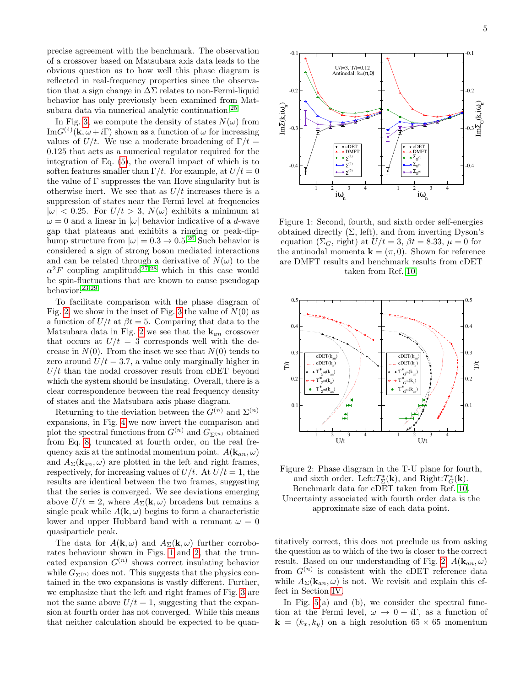precise agreement with the benchmark. The observation of a crossover based on Matsubara axis data leads to the obvious question as to how well this phase diagram is reflected in real-frequency properties since the observation that a sign change in  $\Delta\Sigma$  relates to non-Fermi-liquid behavior has only previously been examined from Mat-subara data via numerical analytic continuation.<sup>[25](#page-8-24)</sup>

In Fig. [3,](#page-5-0) we compute the density of states  $N(\omega)$  from  $\text{Im}G^{(4)}(\mathbf{k}, \omega + i\Gamma)$  shown as a function of  $\omega$  for increasing values of  $U/t$ . We use a moderate broadening of  $\Gamma/t =$ 0.125 that acts as a numerical regulator required for the integration of Eq. [\(5\)](#page-2-2), the overall impact of which is to soften features smaller than  $\Gamma/t$ . For example, at  $U/t = 0$ the value of  $\Gamma$  suppresses the van Hove singularity but is otherwise inert. We see that as  $U/t$  increases there is a suppression of states near the Fermi level at frequencies  $|\omega|$  < 0.25. For  $U/t > 3$ ,  $N(\omega)$  exhibits a minimum at  $\omega = 0$  and a linear in  $|\omega|$  behavior indicative of a d-wave gap that plateaus and exhibits a ringing or peak-diphump structure from  $|\omega| = 0.3 \rightarrow 0.5^{26}$  $|\omega| = 0.3 \rightarrow 0.5^{26}$  $|\omega| = 0.3 \rightarrow 0.5^{26}$  Such behavior is considered a sign of strong boson mediated interactions and can be related through a derivative of  $N(\omega)$  to the  $\alpha^2 F$  coupling amplitude<sup>[27,](#page-8-26)[28](#page-8-27)</sup> which in this case would be spin-fluctuations that are known to cause pseudogap behavior.[23](#page-8-22)[,29](#page-8-28)

To facilitate comparison with the phase diagram of Fig. [2,](#page-4-1) we show in the inset of Fig. [3](#page-5-0) the value of  $N(0)$  as a function of  $U/t$  at  $\beta t = 5$ . Comparing that data to the Matsubara data in Fig. [2](#page-4-1) we see that the  $k_{an}$  crossover that occurs at  $U/t = 3$  corresponds well with the decrease in  $N(0)$ . From the inset we see that  $N(0)$  tends to zero around  $U/t = 3.7$ , a value only marginally higher in  $U/t$  than the nodal crossover result from cDET beyond which the system should be insulating. Overall, there is a clear correspondence between the real frequency density of states and the Matsubara axis phase diagram.

Returning to the deviation between the  $G^{(n)}$  and  $\Sigma^{(n)}$ expansions, in Fig. [4](#page-5-1) we now invert the comparison and plot the spectral functions from  $G^{(n)}$  and  $G_{\Sigma^{(n)}}$  obtained from Eq. [8,](#page-2-3) truncated at fourth order, on the real frequency axis at the antinodal momentum point.  $A(\mathbf{k}_{an}, \omega)$ and  $A_{\Sigma}(\mathbf{k}_{an}, \omega)$  are plotted in the left and right frames, respectively, for increasing values of  $U/t$ . At  $U/t = 1$ , the results are identical between the two frames, suggesting that the series is converged. We see deviations emerging above  $U/t = 2$ , where  $A_{\Sigma}(\mathbf{k}, \omega)$  broadens but remains a single peak while  $A(\mathbf{k}, \omega)$  begins to form a characteristic lower and upper Hubbard band with a remnant  $\omega = 0$ quasiparticle peak. otherwise inert. We see that as  $U/t = 0$  calculation should be an<br>imparession of states more the Fermi level at frequencies a<br>
sequence of a dense in the set of the syre ( $U$ , bein impair and  $\omega = 0$  and a linear in  $|\omega|$ 

The data for  $A(\mathbf{k}, \omega)$  and  $A_{\Sigma}(\mathbf{k}, \omega)$  further corroborates behaviour shown in Figs. [1](#page-4-0) and [2,](#page-4-1) that the truncated expansion  $G^{(n)}$  shows correct insulating behavior while  $G_{\Sigma^{(n)}}$  does not. This suggests that the physics contained in the two expansions is vastly different. Further, we emphasize that the left and right frames of Fig. [3](#page-5-0) are not the same above  $U/t = 1$ , suggesting that the expansion at fourth order has not converged. While this means

<span id="page-4-0"></span>

Figure 1: Second, fourth, and sixth order self-energies obtained directly  $(\Sigma, \text{ left})$ , and from inverting Dyson's equation ( $\Sigma_G$ , right) at  $U/t = 3$ ,  $\beta t = 8.33$ ,  $\mu = 0$  for the antinodal momenta  $\mathbf{k} = (\pi, 0)$ . Shown for reference are DMFT results and benchmark results from cDET taken from Ref. [10.](#page-8-10)

<span id="page-4-1"></span>



titatively correct, this does not preclude us from asking the question as to which of the two is closer to the correct result. Based on our understanding of Fig. [2,](#page-4-1)  $A(\mathbf{k}_{an}, \omega)$ from  $G^{(n)}$  is consistent with the cDET reference data while  $A_{\Sigma}(\mathbf{k}_{an}, \omega)$  is not. We revisit and explain this effect in Section [IV.](#page-6-0)

In Fig.  $5(a)$  and (b), we consider the spectral function at the Fermi level,  $\omega \to 0 + i\Gamma$ , as a function of  $\mathbf{k} = (k_x, k_y)$  on a high resolution 65 × 65 momentum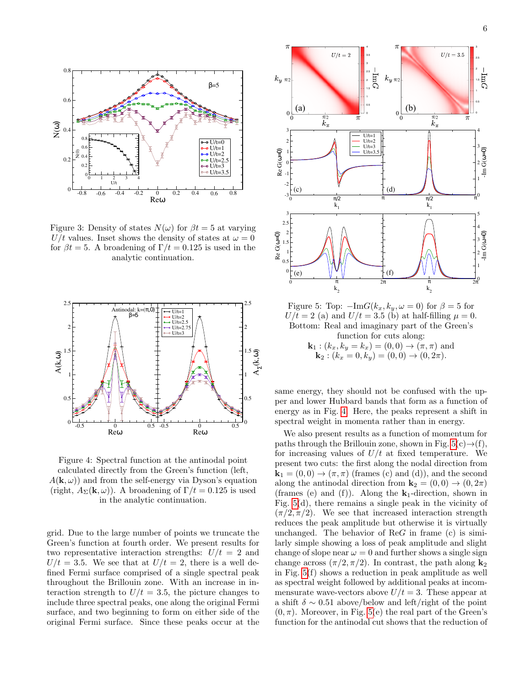<span id="page-5-0"></span>

Figure 3: Density of states  $N(\omega)$  for  $\beta t = 5$  at varying U/t values. Inset shows the density of states at  $\omega = 0$ for  $\beta t = 5$ . A broadening of  $\Gamma/t = 0.125$  is used in the analytic continuation.

<span id="page-5-1"></span>

Figure 4: Spectral function at the antinodal point calculated directly from the Green's function (left,  $A(\mathbf{k}, \omega)$  and from the self-energy via Dyson's equation (right,  $A_{\Sigma}(\mathbf{k}, \omega)$ ). A broadening of  $\Gamma/t = 0.125$  is used in the analytic continuation.

grid. Due to the large number of points we truncate the Green's function at fourth order. We present results for two representative interaction strengths:  $U/t = 2$  and  $U/t = 3.5$ . We see that at  $U/t = 2$ , there is a well defined Fermi surface comprised of a single spectral peak throughout the Brillouin zone. With an increase in interaction strength to  $U/t = 3.5$ , the picture changes to include three spectral peaks, one along the original Fermi surface, and two beginning to form on either side of the original Fermi surface. Since these peaks occur at the

<span id="page-5-2"></span>

Figure 5: Top:  $-\text{Im}G(k_x, k_y, \omega = 0)$  for  $\beta = 5$  for  $U/t = 2$  (a) and  $U/t = 3.5$  (b) at half-filling  $\mu = 0$ . Bottom: Real and imaginary part of the Green's function for cuts along:  $\mathbf{k}_1 : (k_x, k_y = k_x) = (0, 0) \rightarrow (\pi, \pi)$  and  $\mathbf{k}_2 : (k_x = 0, k_y) = (0, 0) \rightarrow (0, 2\pi).$ 

same energy, they should not be confused with the upper and lower Hubbard bands that form as a function of energy as in Fig. [4.](#page-5-1) Here, the peaks represent a shift in spectral weight in momenta rather than in energy.

We also present results as a function of momentum for paths through the Brillouin zone, shown in Fig.  $5(c) \rightarrow (f)$ , for increasing values of  $U/t$  at fixed temperature. We present two cuts: the first along the nodal direction from  $\mathbf{k}_1 = (0,0) \rightarrow (\pi, \pi)$  (frames (c) and (d)), and the second along the antinodal direction from  $\mathbf{k}_2 = (0,0) \rightarrow (0,2\pi)$ (frames (e) and (f)). Along the  $k_1$ -direction, shown in Fig. [5\(](#page-5-2)d), there remains a single peak in the vicinity of  $(\pi/2, \pi/2)$ . We see that increased interaction strength reduces the peak amplitude but otherwise it is virtually unchanged. The behavior of  $\text{Re}G$  in frame (c) is similarly simple showing a loss of peak amplitude and slight change of slope near  $\omega = 0$  and further shows a single sign change across  $(\pi/2, \pi/2)$ . In contrast, the path along  $\mathbf{k}_2$ in Fig. [5\(](#page-5-2)f) shows a reduction in peak amplitude as well as spectral weight followed by additional peaks at incommensurate wave-vectors above  $U/t = 3$ . These appear at a shift  $\delta \sim 0.51$  above/below and left/right of the point  $(0, \pi)$ . Moreover, in Fig. [5\(](#page-5-2)e) the real part of the Green's function for the antinodal cut shows that the reduction of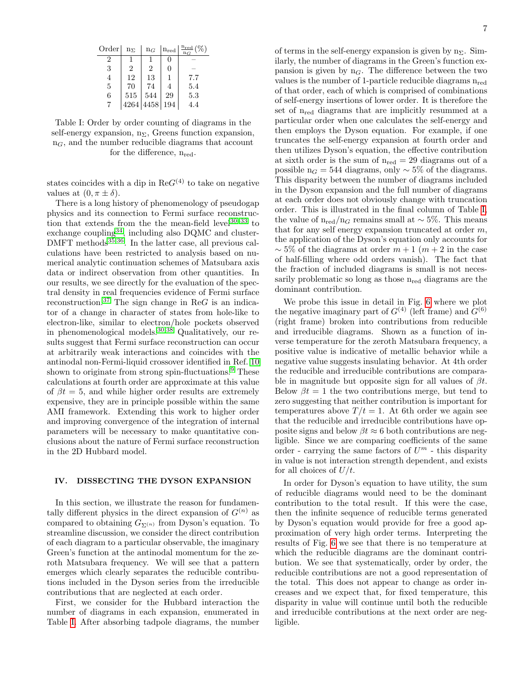<span id="page-6-1"></span>

| Order | $n_{\Sigma}$   | $n_G$ | $n_{\rm red}$ | $^{\rm n}$ red |
|-------|----------------|-------|---------------|----------------|
|       |                |       | 0             |                |
| 3     | $\overline{2}$ | 2     | 0             |                |
| 4     | 12             | 13    |               | 7.7            |
| 5     | 70             | 74    |               | 5.4            |
| 6     | 515            | 544   | 29            | 5.3            |
|       | 4264           | 4458  | 194           | 4.4            |

Table I: Order by order counting of diagrams in the self-energy expansion,  $n_{\Sigma}$ , Greens function expansion,  $n<sub>G</sub>$ , and the number reducible diagrams that account for the difference,  $n_{\text{red}}$ .

states coincides with a dip in  $\text{Re}G^{(4)}$  to take on negative values at  $(0, \pi \pm \delta)$ .

There is a long history of phenomenology of pseudogap physics and its connection to Fermi surface reconstruction that extends from the the mean-field level $30-33$  $30-33$  to exchange coupling<sup>[34](#page-8-31)</sup>, including also DQMC and cluster-DMFT methods<sup>[35](#page-8-32)[,36](#page-8-33)</sup>. In the latter case, all previous calculations have been restricted to analysis based on numerical analytic continuation schemes of Matsubara axis data or indirect observation from other quantities. In our results, we see directly for the evaluation of the spectral density in real frequencies evidence of Fermi surface reconstruction.<sup>[37](#page-8-34)</sup> The sign change in ReG is an indicator of a change in character of states from hole-like to electron-like, similar to electron/hole pockets observed in phenomenological models.[30](#page-8-29)[,38](#page-8-35) Qualitatively, our results suggest that Fermi surface reconstruction can occur at arbitrarily weak interactions and coincides with the antinodal non-Fermi-liquid crossover identified in Ref. [10](#page-8-10) shown to originate from strong spin-fluctuations. $9$  These calculations at fourth order are approximate at this value of  $\beta t = 5$ , and while higher order results are extremely expensive, they are in principle possible within the same AMI framework. Extending this work to higher order and improving convergence of the integration of internal parameters will be necessary to make quantitative conclusions about the nature of Fermi surface reconstruction in the 2D Hubbard model.

#### <span id="page-6-0"></span>IV. DISSECTING THE DYSON EXPANSION

In this section, we illustrate the reason for fundamentally different physics in the direct expansion of  $G^{(n)}$  as compared to obtaining  $G_{\Sigma^{(n)}}$  from Dyson's equation. To streamline discussion, we consider the direct contribution of each diagram to a particular observable, the imaginary Green's function at the antinodal momentum for the zeroth Matsubara frequency. We will see that a pattern emerges which clearly separates the reducible contributions included in the Dyson series from the irreducible contributions that are neglected at each order.

First, we consider for the Hubbard interaction the number of diagrams in each expansion, enumerated in Table [I.](#page-6-1) After absorbing tadpole diagrams, the number

of terms in the self-energy expansion is given by  $n_{\Sigma}$ . Similarly, the number of diagrams in the Green's function expansion is given by  $n<sub>G</sub>$ . The difference between the two values is the number of 1-particle reducible diagrams nred of that order, each of which is comprised of combinations of self-energy insertions of lower order. It is therefore the set of nred diagrams that are implicitly resummed at a particular order when one calculates the self-energy and then employs the Dyson equation. For example, if one truncates the self-energy expansion at fourth order and then utilizes Dyson's equation, the effective contribution at sixth order is the sum of  $n_{\text{red}} = 29$  diagrams out of a possible n<sub>G</sub> = 544 diagrams, only  $\sim$  5% of the diagrams. This disparity between the number of diagrams included in the Dyson expansion and the full number of diagrams at each order does not obviously change with truncation order. This is illustrated in the final column of Table [I,](#page-6-1) the value of n<sub>red</sub>/n<sub>G</sub> remains small at ~ 5%. This means that for any self energy expansion truncated at order  $m$ , the application of the Dyson's equation only accounts for  $\sim$  5% of the diagrams at order  $m+1$  ( $m+2$  in the case of half-filling where odd orders vanish). The fact that the fraction of included diagrams is small is not necessarily problematic so long as those  $n_{\text{red}}$  diagrams are the dominant contribution.

We probe this issue in detail in Fig. [6](#page-7-0) where we plot the negative imaginary part of  $G^{(4)}$  (left frame) and  $G^{(6)}$ (right frame) broken into contributions from reducible and irreducible diagrams. Shown as a function of inverse temperature for the zeroth Matsubara frequency, a positive value is indicative of metallic behavior while a negative value suggests insulating behavior. At 4th order the reducible and irreducible contributions are comparable in magnitude but opposite sign for all values of  $\beta t$ . Below  $\beta t = 1$  the two contributions merge, but tend to zero suggesting that neither contribution is important for temperatures above  $T/t = 1$ . At 6th order we again see that the reducible and irreducible contributions have opposite signs and below  $\beta t \approx 6$  both contributions are negligible. Since we are comparing coefficients of the same order - carrying the same factors of  $U^m$  - this disparity in value is not interaction strength dependent, and exists for all choices of  $U/t$ .

In order for Dyson's equation to have utility, the sum of reducible diagrams would need to be the dominant contribution to the total result. If this were the case, then the infinite sequence of reducible terms generated by Dyson's equation would provide for free a good approximation of very high order terms. Interpreting the results of Fig. [6](#page-7-0) we see that there is no temperature at which the reducible diagrams are the dominant contribution. We see that systematically, order by order, the reducible contributions are not a good representation of the total. This does not appear to change as order increases and we expect that, for fixed temperature, this disparity in value will continue until both the reducible and irreducible contributions at the next order are negligible.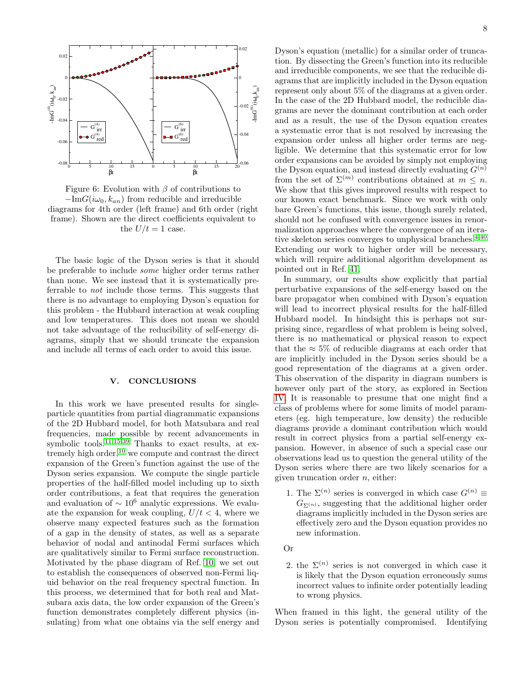<span id="page-7-0"></span>



The basic logic of the Dyson series is that it should be preferable to include some higher order terms rather than none. We see instead that it is systematically preferrable to not include those terms. This suggests that there is no advantage to employing Dyson's equation for this problem - the Hubbard interaction at weak coupling and low temperatures. This does not mean we should not take advantage of the reducibility of self-energy diagrams, simply that we should truncate the expansion and include all terms of each order to avoid this issue.

### V. CONCLUSIONS

In this work we have presented results for singleparticle quantities from partial diagrammatic expansions of the 2D Hubbard model, for both Matsubara and real frequencies, made possible by recent advancements in symbolic tools.<sup>[11,](#page-8-11)[15](#page-8-15)[,39](#page-8-36)</sup> Thanks to exact results, at extremely high order,  $^{10}$  $^{10}$  $^{10}$  we compute and contrast the direct expansion of the Green's function against the use of the Dyson series expansion. We compute the single particle properties of the half-filled model including up to sixth order contributions, a feat that requires the generation and evaluation of  $\sim 10^6$  analytic expressions. We evaluate the expansion for weak coupling,  $U/t < 4$ , where we observe many expected features such as the formation of a gap in the density of states, as well as a separate behavior of nodal and antinodal Fermi surfaces which are qualitatively similar to Fermi surface reconstruction. Motivated by the phase diagram of Ref. [10,](#page-8-10) we set out to establish the consequences of observed non-Fermi liquid behavior on the real frequency spectral function. In this process, we determined that for both real and Matsubara axis data, the low order expansion of the Green's function demonstrates completely different physics (insulating) from what one obtains via the self energy and Dyson's equation (metallic) for a similar order of truncation. By dissecting the Green's function into its reducible and irreducible components, we see that the reducible diagrams that are implicitly included in the Dyson equation represent only about 5% of the diagrams at a given order. In the case of the 2D Hubbard model, the reducible diagrams are never the dominant contribution at each order and as a result, the use of the Dyson equation creates a systematic error that is not resolved by increasing the expansion order unless all higher order terms are negligible. We determine that this systematic error for low order expansions can be avoided by simply not employing the Dyson equation, and instead directly evaluating  $G^{(n)}$ from the set of  $\Sigma^{(m)}$  contributions obtained at  $m \leq n$ . We show that this gives improved results with respect to our known exact benchmark. Since we work with only bare Green's functions, this issue, though surely related, should not be confused with convergence issues in renormalization approaches where the convergence of an itera-tive skeleton series converges to unphysical branches.<sup>[4](#page-8-4)[,40](#page-8-37)</sup> Extending our work to higher order will be necessary, which will require additional algorithm development as pointed out in Ref. [41.](#page-8-38)

In summary, our results show explicitly that partial perturbative expansions of the self-energy based on the bare propagator when combined with Dyson's equation will lead to incorrect physical results for the half-filled Hubbard model. In hindsight this is perhaps not surprising since, regardless of what problem is being solved, there is no mathematical or physical reason to expect that the  $\approx 5\%$  of reducible diagrams at each order that are implicitly included in the Dyson series should be a good representation of the diagrams at a given order. This observation of the disparity in diagram numbers is however only part of the story, as explored in Section [IV.](#page-6-0) It is reasonable to presume that one might find a class of problems where for some limits of model parameters (eg. high temperature, low density) the reducible diagrams provide a dominant contribution which would result in correct physics from a partial self-energy expansion. However, in absence of such a special case our observations lead us to question the general utility of the Dyson series where there are two likely scenarios for a given truncation order  $n$ , either:

- 1. The  $\Sigma^{(n)}$  series is converged in which case  $G^{(n)} \equiv$  $G_{\Sigma(n)}$ , suggesting that the additional higher order diagrams implicitly included in the Dyson series are effectively zero and the Dyson equation provides no new information.
- Or
- 2. the  $\Sigma^{(n)}$  series is not converged in which case it is likely that the Dyson equation erroneously sums incorrect values to infinite order potentially leading to wrong physics.

When framed in this light, the general utility of the Dyson series is potentially compromised. Identifying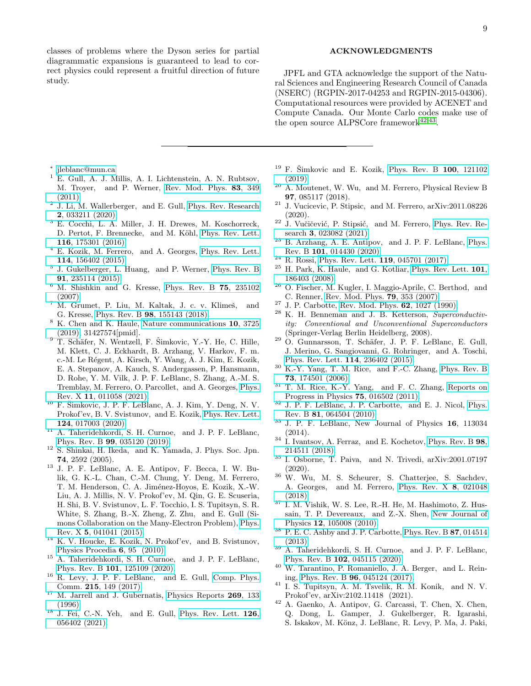classes of problems where the Dyson series for partial diagrammatic expansions is guaranteed to lead to correct physics could represent a fruitful direction of future study.

#### ACKNOWLEDGMENTS

JPFL and GTA acknowledge the support of the Natural Sciences and Engineering Research Council of Canada (NSERC) (RGPIN-2017-04253 and RGPIN-2015-04306). Computational resources were provided by ACENET and Compute Canada. Our Monte Carlo codes make use of the open source ALPSCore framework<sup>[42,](#page-8-39)[43](#page-9-0)</sup>.

- <span id="page-8-0"></span>∗ [jleblanc@mun.ca](mailto:jleblanc@mun.ca)
- <span id="page-8-1"></span> $^1$  E. Gull, A. J. Millis, A. I. Lichtenstein, A. N. Rubtsov, M. Troyer, and P. Werner, [Rev. Mod. Phys.](http://dx.doi.org/ 10.1103/RevModPhys.83.349) 83, 349 [\(2011\).](http://dx.doi.org/ 10.1103/RevModPhys.83.349)
- <span id="page-8-2"></span><sup>2</sup> J. Li, M. Wallerberger, and E. Gull, [Phys. Rev. Research](http://dx.doi.org/10.1103/PhysRevResearch.2.033211) 2[, 033211 \(2020\).](http://dx.doi.org/10.1103/PhysRevResearch.2.033211)
- <span id="page-8-3"></span><sup>3</sup> E. Cocchi, L. A. Miller, J. H. Drewes, M. Koschorreck, D. Pertot, F. Brennecke, and M. Köhl, [Phys. Rev. Lett.](http://dx.doi.org/ 10.1103/PhysRevLett.116.175301) 116[, 175301 \(2016\).](http://dx.doi.org/ 10.1103/PhysRevLett.116.175301)
- <span id="page-8-4"></span><sup>4</sup> E. Kozik, M. Ferrero, and A. Georges, [Phys. Rev. Lett.](http://dx.doi.org/10.1103/PhysRevLett.114.156402) 114[, 156402 \(2015\).](http://dx.doi.org/10.1103/PhysRevLett.114.156402)
- <span id="page-8-5"></span>5 J. Gukelberger, L. Huang, and P. Werner, [Phys. Rev. B](http://dx.doi.org/10.1103/PhysRevB.91.235114) 91[, 235114 \(2015\).](http://dx.doi.org/10.1103/PhysRevB.91.235114)
- <span id="page-8-6"></span> $6$  M. Shishkin and G. Kresse, [Phys. Rev. B](http://dx.doi.org/10.1103/PhysRevB.75.235102)  $75$ , 235102 [\(2007\).](http://dx.doi.org/10.1103/PhysRevB.75.235102)
- <span id="page-8-7"></span> $7$  M. Grumet, P. Liu, M. Kaltak, J. c. v. Klimeš, and G. Kresse, Phys. Rev. B 98[, 155143 \(2018\).](http://dx.doi.org/ 10.1103/PhysRevB.98.155143)
- <span id="page-8-8"></span><sup>8</sup> K. Chen and K. Haule, [Nature communications](http://dx.doi.org/10.1038/s41467-019-11708-6) 10, 3725 [\(2019\),](http://dx.doi.org/10.1038/s41467-019-11708-6) 31427574[pmid].
- <span id="page-8-9"></span> $9$  T. Schäfer, N. Wentzell, F. Šimkovic, Y.-Y. He, C. Hille, M. Klett, C. J. Eckhardt, B. Arzhang, V. Harkov, F. m. c.-M. Le Régent, A. Kirsch, Y. Wang, A. J. Kim, E. Kozik, E. A. Stepanov, A. Kauch, S. Andergassen, P. Hansmann, D. Rohe, Y. M. Vilk, J. P. F. LeBlanc, S. Zhang, A.-M. S. Tremblay, M. Ferrero, O. Parcollet, and A. Georges, [Phys.](http://dx.doi.org/10.1103/PhysRevX.11.011058) Rev. X 11[, 011058 \(2021\).](http://dx.doi.org/10.1103/PhysRevX.11.011058)
- <span id="page-8-10"></span> $^{10}$  F. Šimkovic, J. P. F. LeBlanc, A. J. Kim, Y. Deng, N. V. Prokof'ev, B. V. Svistunov, and E. Kozik, [Phys. Rev. Lett.](http://dx.doi.org/10.1103/PhysRevLett.124.017003) 124[, 017003 \(2020\).](http://dx.doi.org/10.1103/PhysRevLett.124.017003)
- <span id="page-8-11"></span><sup>11</sup> A. Taheridehkordi, S. H. Curnoe, and J. P. F. LeBlanc, Phys. Rev. B 99[, 035120 \(2019\).](http://dx.doi.org/10.1103/PhysRevB.99.035120)
- <span id="page-8-12"></span><sup>12</sup> S. Shinkai, H. Ikeda, and K. Yamada, J. Phys. Soc. Jpn. 74, 2592 (2005).
- <span id="page-8-13"></span><sup>13</sup> J. P. F. LeBlanc, A. E. Antipov, F. Becca, I. W. Bulik, G. K.-L. Chan, C.-M. Chung, Y. Deng, M. Ferrero, T. M. Henderson, C. A. Jiménez-Hoyos, E. Kozik, X.-W. Liu, A. J. Millis, N. V. Prokof'ev, M. Qin, G. E. Scuseria, H. Shi, B. V. Svistunov, L. F. Tocchio, I. S. Tupitsyn, S. R. White, S. Zhang, B.-X. Zheng, Z. Zhu, and E. Gull (Simons Collaboration on the Many-Electron Problem), [Phys.](http://dx.doi.org/10.1103/PhysRevX.5.041041) Rev. X 5[, 041041 \(2015\).](http://dx.doi.org/10.1103/PhysRevX.5.041041)
- <span id="page-8-14"></span> $^{14}$  K. V. Houcke, E. Kozik, N. Prokof'ev, and B. Svistunov, [Physics Procedia](http://dx.doi.org/https://doi.org/10.1016/j.phpro.2010.09.034) 6, 95 (2010).
- <span id="page-8-15"></span><sup>15</sup> A. Taheridehkordi, S. H. Curnoe, and J. P. F. LeBlanc, Phys. Rev. B 101[, 125109 \(2020\).](http://dx.doi.org/10.1103/PhysRevB.101.125109)
- <span id="page-8-16"></span><sup>16</sup> R. Levy, J. P. F. LeBlanc, and E. Gull, [Comp. Phys.](http://dx.doi.org/10.1016/j.cpc.2017.01.018) Comm. 215[, 149 \(2017\).](http://dx.doi.org/10.1016/j.cpc.2017.01.018)
- <sup>17</sup> M. Jarrell and J. Gubernatis, [Physics Reports](http://dx.doi.org/ https://doi.org/10.1016/0370-1573(95)00074-7) **269**, 133 [\(1996\).](http://dx.doi.org/ https://doi.org/10.1016/0370-1573(95)00074-7)
- <span id="page-8-17"></span> $18$  J. Fei, C.-N. Yeh, and E. Gull, [Phys. Rev. Lett.](http://dx.doi.org/ 10.1103/PhysRevLett.126.056402) 126, [056402 \(2021\).](http://dx.doi.org/ 10.1103/PhysRevLett.126.056402)
- <span id="page-8-18"></span> $19$  F. Šimkovic and E. Kozik, [Phys. Rev. B](http://dx.doi.org/ 10.1103/PhysRevB.100.121102) 100, 121102 [\(2019\).](http://dx.doi.org/ 10.1103/PhysRevB.100.121102)
- <span id="page-8-19"></span><sup>20</sup> A. Moutenet, W. Wu, and M. Ferrero, Physical Review B 97, 085117 (2018).
- <span id="page-8-20"></span><sup>21</sup> J. Vucicevic, P. Stipsic, and M. Ferrero, arXiv:2011.08226 (2020).
- <span id="page-8-21"></span> $22\,$  J. Vu $\check{c}$ ičević, P. Stipsić, and M. Ferrero, [Phys. Rev. Re](http://dx.doi.org/10.1103/PhysRevResearch.3.023082)search 3[, 023082 \(2021\).](http://dx.doi.org/10.1103/PhysRevResearch.3.023082)
- <span id="page-8-22"></span> $23$  B. Arzhang, A. E. Antipov, and J. P. F. LeBlanc, [Phys.](http://dx.doi.org/10.1103/PhysRevB.101.014430) Rev. B 101[, 014430 \(2020\).](http://dx.doi.org/10.1103/PhysRevB.101.014430)
- <span id="page-8-23"></span> $^{24}$  R. Rossi, [Phys. Rev. Lett.](http://dx.doi.org/10.1103/PhysRevLett.119.045701) 119, 045701 (2017).
- <span id="page-8-24"></span> $^{25}$  H. Park, K. Haule, and G. Kotliar, [Phys. Rev. Lett.](http://dx.doi.org/10.1103/PhysRevLett.101.186403)  $101$ , [186403 \(2008\).](http://dx.doi.org/10.1103/PhysRevLett.101.186403)
- <span id="page-8-25"></span><sup>26</sup> O. Fischer, M. Kugler, I. Maggio-Aprile, C. Berthod, and C. Renner, [Rev. Mod. Phys.](http://dx.doi.org/ 10.1103/RevModPhys.79.353) 79, 353 (2007).
- <span id="page-8-26"></span><sup>27</sup> J. P. Carbotte, [Rev. Mod. Phys.](http://dx.doi.org/10.1103/RevModPhys.62.1027) 62, 1027 (1990).
- <span id="page-8-27"></span><sup>28</sup> K. H. Benneman and J. B. Ketterson, Superconductivity: Conventional and Unconventional Superconductors (Springer-Verlag Berlin Heidelberg, 2008).
- <span id="page-8-28"></span> $29$  O. Gunnarsson, T. Schäfer, J. P. F. LeBlanc, E. Gull, J. Merino, G. Sangiovanni, G. Rohringer, and A. Toschi, [Phys. Rev. Lett.](http://dx.doi.org/ 10.1103/PhysRevLett.114.236402) 114, 236402 (2015).
- <span id="page-8-29"></span><sup>30</sup> K.-Y. Yang, T. M. Rice, and F.-C. Zhang, [Phys. Rev. B](http://dx.doi.org/10.1103/PhysRevB.73.174501) 73[, 174501 \(2006\).](http://dx.doi.org/10.1103/PhysRevB.73.174501)
- <sup>31</sup> T. M. Rice, K.-Y. Yang, and F. C. Zhang, [Reports on](http://dx.doi.org/10.1088/0034-4885/75/1/016502) [Progress in Physics](http://dx.doi.org/10.1088/0034-4885/75/1/016502) 75, 016502 (2011).
- <sup>32</sup> J. P. F. LeBlanc, J. P. Carbotte, and E. J. Nicol, [Phys.](http://dx.doi.org/10.1103/PhysRevB.81.064504) Rev. B 81[, 064504 \(2010\).](http://dx.doi.org/10.1103/PhysRevB.81.064504)
- <span id="page-8-30"></span><sup>33</sup> J. P. F. LeBlanc, New Journal of Physics 16, 113034 (2014).
- <span id="page-8-31"></span><sup>34</sup> I. Ivantsov, A. Ferraz, and E. Kochetov, [Phys. Rev. B](http://dx.doi.org/10.1103/PhysRevB.98.214511) 98, [214511 \(2018\).](http://dx.doi.org/10.1103/PhysRevB.98.214511)
- <span id="page-8-32"></span><sup>35</sup> I. Osborne, T. Paiva, and N. Trivedi, arXiv:2001.07197 (2020).
- <span id="page-8-33"></span> $36$  W. Wu, M. S. Scheurer, S. Chatterjee, S. Sachdev, A. Georges, and M. Ferrero, [Phys. Rev. X](http://dx.doi.org/ 10.1103/PhysRevX.8.021048) 8, 021048 [\(2018\).](http://dx.doi.org/ 10.1103/PhysRevX.8.021048)
- <span id="page-8-34"></span><sup>37</sup> I. M. Vishik, W. S. Lee, R.-H. He, M. Hashimoto, Z. Hussain, T. P. Devereaux, and Z.-X. Shen, [New Journal of](http://dx.doi.org/ 10.1088/1367-2630/12/10/105008) Physics 12[, 105008 \(2010\).](http://dx.doi.org/ 10.1088/1367-2630/12/10/105008)
- <span id="page-8-35"></span> $^{38}\,$  P. E. C. Ashby and J. P. Carbotte, [Phys. Rev. B](http://dx.doi.org/10.1103/PhysRevB.87.014514)  $\bf 87,014514$ [\(2013\).](http://dx.doi.org/10.1103/PhysRevB.87.014514)
- <span id="page-8-36"></span><sup>39</sup> A. Taheridehkordi, S. H. Curnoe, and J. P. F. LeBlanc, Phys. Rev. B 102[, 045115 \(2020\).](http://dx.doi.org/10.1103/PhysRevB.102.045115)
- <span id="page-8-37"></span><sup>40</sup> W. Tarantino, P. Romaniello, J. A. Berger, and L. Reining, Phys. Rev. B 96[, 045124 \(2017\).](http://dx.doi.org/10.1103/PhysRevB.96.045124)
- <span id="page-8-38"></span><sup>41</sup> I. S. Tupitsyn, A. M. Tsvelik, R. M. Konik, and N. V. Prokof'ev, arXiv:2102.11418 (2021).
- <span id="page-8-39"></span><sup>42</sup> A. Gaenko, A. Antipov, G. Carcassi, T. Chen, X. Chen, Q. Dong, L. Gamper, J. Gukelberger, R. Igarashi, S. Iskakov, M. Könz, J. LeBlanc, R. Levy, P. Ma, J. Paki,